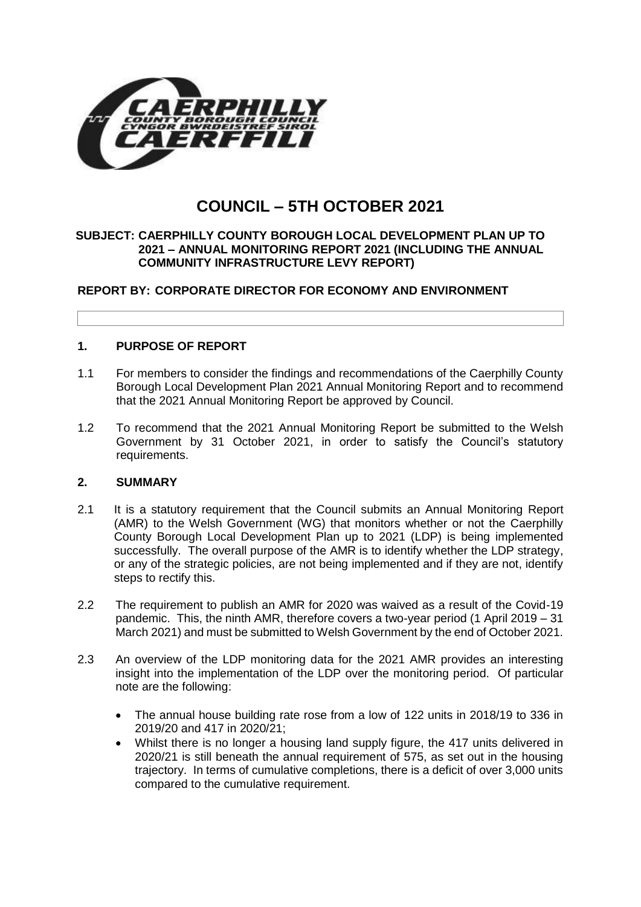

# **COUNCIL – 5TH OCTOBER 2021**

#### **SUBJECT: CAERPHILLY COUNTY BOROUGH LOCAL DEVELOPMENT PLAN UP TO 2021 – ANNUAL MONITORING REPORT 2021 (INCLUDING THE ANNUAL COMMUNITY INFRASTRUCTURE LEVY REPORT)**

# **REPORT BY: CORPORATE DIRECTOR FOR ECONOMY AND ENVIRONMENT**

# **1. PURPOSE OF REPORT**

- 1.1 For members to consider the findings and recommendations of the Caerphilly County Borough Local Development Plan 2021 Annual Monitoring Report and to recommend that the 2021 Annual Monitoring Report be approved by Council.
- 1.2 To recommend that the 2021 Annual Monitoring Report be submitted to the Welsh Government by 31 October 2021, in order to satisfy the Council's statutory requirements.

# **2. SUMMARY**

- 2.1 It is a statutory requirement that the Council submits an Annual Monitoring Report (AMR) to the Welsh Government (WG) that monitors whether or not the Caerphilly County Borough Local Development Plan up to 2021 (LDP) is being implemented successfully. The overall purpose of the AMR is to identify whether the LDP strategy, or any of the strategic policies, are not being implemented and if they are not, identify steps to rectify this.
- 2.2 The requirement to publish an AMR for 2020 was waived as a result of the Covid-19 pandemic. This, the ninth AMR, therefore covers a two-year period (1 April 2019 – 31 March 2021) and must be submitted to Welsh Government by the end of October 2021.
- 2.3 An overview of the LDP monitoring data for the 2021 AMR provides an interesting insight into the implementation of the LDP over the monitoring period. Of particular note are the following:
	- The annual house building rate rose from a low of 122 units in 2018/19 to 336 in 2019/20 and 417 in 2020/21;
	- Whilst there is no longer a housing land supply figure, the 417 units delivered in 2020/21 is still beneath the annual requirement of 575, as set out in the housing trajectory. In terms of cumulative completions, there is a deficit of over 3,000 units compared to the cumulative requirement.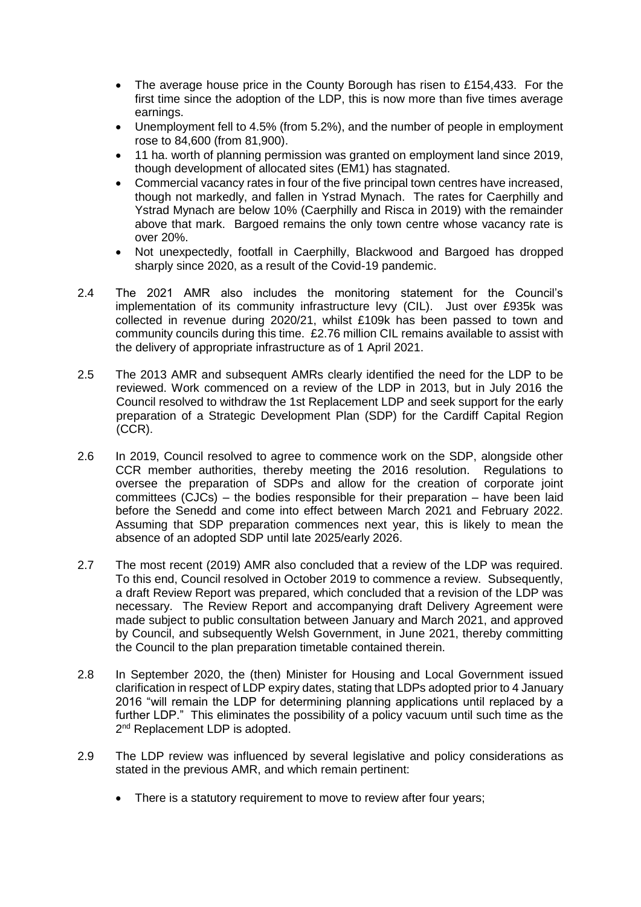- The average house price in the County Borough has risen to £154,433. For the first time since the adoption of the LDP, this is now more than five times average earnings.
- Unemployment fell to 4.5% (from 5.2%), and the number of people in employment rose to 84,600 (from 81,900).
- 11 ha. worth of planning permission was granted on employment land since 2019, though development of allocated sites (EM1) has stagnated.
- Commercial vacancy rates in four of the five principal town centres have increased, though not markedly, and fallen in Ystrad Mynach. The rates for Caerphilly and Ystrad Mynach are below 10% (Caerphilly and Risca in 2019) with the remainder above that mark. Bargoed remains the only town centre whose vacancy rate is over 20%.
- Not unexpectedly, footfall in Caerphilly, Blackwood and Bargoed has dropped sharply since 2020, as a result of the Covid-19 pandemic.
- 2.4 The 2021 AMR also includes the monitoring statement for the Council's implementation of its community infrastructure levy (CIL). Just over £935k was collected in revenue during 2020/21, whilst £109k has been passed to town and community councils during this time. £2.76 million CIL remains available to assist with the delivery of appropriate infrastructure as of 1 April 2021.
- 2.5 The 2013 AMR and subsequent AMRs clearly identified the need for the LDP to be reviewed. Work commenced on a review of the LDP in 2013, but in July 2016 the Council resolved to withdraw the 1st Replacement LDP and seek support for the early preparation of a Strategic Development Plan (SDP) for the Cardiff Capital Region (CCR).
- 2.6 In 2019, Council resolved to agree to commence work on the SDP, alongside other CCR member authorities, thereby meeting the 2016 resolution. Regulations to oversee the preparation of SDPs and allow for the creation of corporate joint committees (CJCs) – the bodies responsible for their preparation – have been laid before the Senedd and come into effect between March 2021 and February 2022. Assuming that SDP preparation commences next year, this is likely to mean the absence of an adopted SDP until late 2025/early 2026.
- 2.7 The most recent (2019) AMR also concluded that a review of the LDP was required. To this end, Council resolved in October 2019 to commence a review. Subsequently, a draft Review Report was prepared, which concluded that a revision of the LDP was necessary. The Review Report and accompanying draft Delivery Agreement were made subject to public consultation between January and March 2021, and approved by Council, and subsequently Welsh Government, in June 2021, thereby committing the Council to the plan preparation timetable contained therein.
- 2.8 In September 2020, the (then) Minister for Housing and Local Government issued clarification in respect of LDP expiry dates, stating that LDPs adopted prior to 4 January 2016 "will remain the LDP for determining planning applications until replaced by a further LDP." This eliminates the possibility of a policy vacuum until such time as the 2<sup>nd</sup> Replacement LDP is adopted.
- 2.9 The LDP review was influenced by several legislative and policy considerations as stated in the previous AMR, and which remain pertinent:
	- There is a statutory requirement to move to review after four years;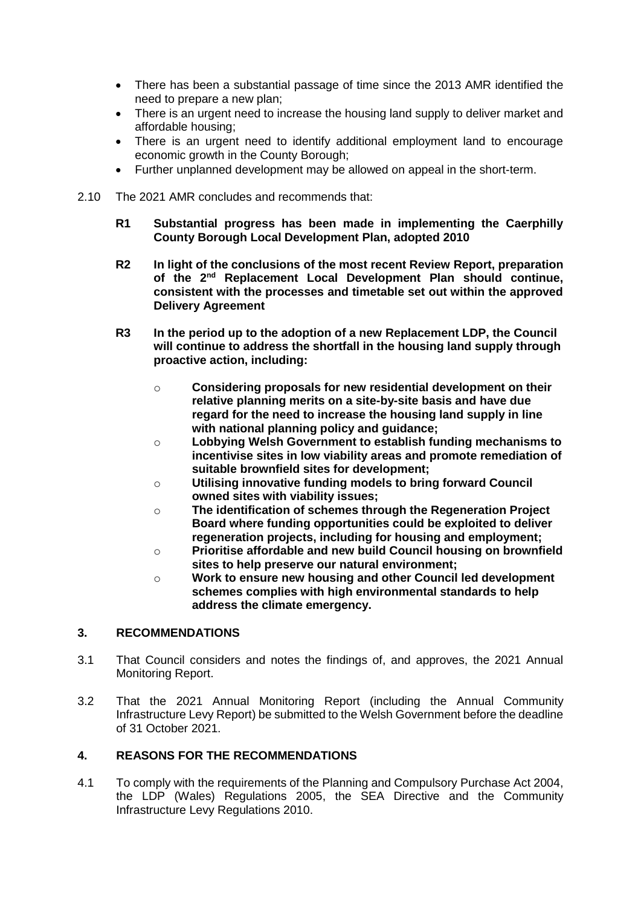- There has been a substantial passage of time since the 2013 AMR identified the need to prepare a new plan;
- There is an urgent need to increase the housing land supply to deliver market and affordable housing;
- There is an urgent need to identify additional employment land to encourage economic growth in the County Borough;
- Further unplanned development may be allowed on appeal in the short-term.
- 2.10 The 2021 AMR concludes and recommends that:
	- **R1 Substantial progress has been made in implementing the Caerphilly County Borough Local Development Plan, adopted 2010**
	- **R2 In light of the conclusions of the most recent Review Report, preparation of the 2nd Replacement Local Development Plan should continue, consistent with the processes and timetable set out within the approved Delivery Agreement**
	- **R3 In the period up to the adoption of a new Replacement LDP, the Council will continue to address the shortfall in the housing land supply through proactive action, including:**
		- o **Considering proposals for new residential development on their relative planning merits on a site-by-site basis and have due regard for the need to increase the housing land supply in line with national planning policy and guidance;**
		- o **Lobbying Welsh Government to establish funding mechanisms to incentivise sites in low viability areas and promote remediation of suitable brownfield sites for development;**
		- o **Utilising innovative funding models to bring forward Council owned sites with viability issues;**
		- o **The identification of schemes through the Regeneration Project Board where funding opportunities could be exploited to deliver regeneration projects, including for housing and employment;**
		- o **Prioritise affordable and new build Council housing on brownfield sites to help preserve our natural environment;**
		- o **Work to ensure new housing and other Council led development schemes complies with high environmental standards to help address the climate emergency.**

# **3. RECOMMENDATIONS**

- 3.1 That Council considers and notes the findings of, and approves, the 2021 Annual Monitoring Report.
- 3.2 That the 2021 Annual Monitoring Report (including the Annual Community Infrastructure Levy Report) be submitted to the Welsh Government before the deadline of 31 October 2021.

# **4. REASONS FOR THE RECOMMENDATIONS**

4.1 To comply with the requirements of the Planning and Compulsory Purchase Act 2004, the LDP (Wales) Regulations 2005, the SEA Directive and the Community Infrastructure Levy Regulations 2010.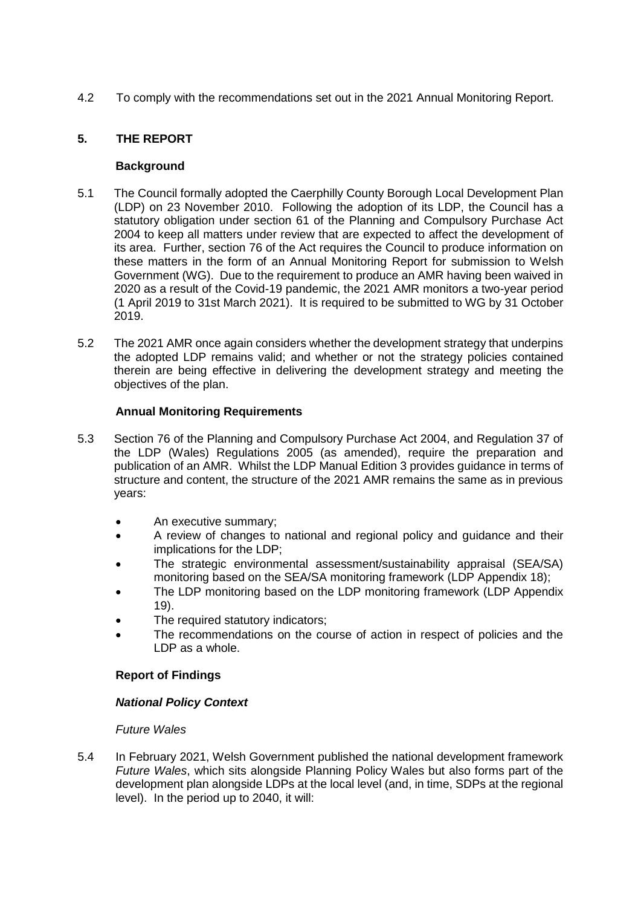4.2 To comply with the recommendations set out in the 2021 Annual Monitoring Report.

# **5. THE REPORT**

#### **Background**

- 5.1 The Council formally adopted the Caerphilly County Borough Local Development Plan (LDP) on 23 November 2010. Following the adoption of its LDP, the Council has a statutory obligation under section 61 of the Planning and Compulsory Purchase Act 2004 to keep all matters under review that are expected to affect the development of its area. Further, section 76 of the Act requires the Council to produce information on these matters in the form of an Annual Monitoring Report for submission to Welsh Government (WG). Due to the requirement to produce an AMR having been waived in 2020 as a result of the Covid-19 pandemic, the 2021 AMR monitors a two-year period (1 April 2019 to 31st March 2021). It is required to be submitted to WG by 31 October 2019.
- 5.2 The 2021 AMR once again considers whether the development strategy that underpins the adopted LDP remains valid; and whether or not the strategy policies contained therein are being effective in delivering the development strategy and meeting the objectives of the plan.

# **Annual Monitoring Requirements**

- 5.3 Section 76 of the Planning and Compulsory Purchase Act 2004, and Regulation 37 of the LDP (Wales) Regulations 2005 (as amended), require the preparation and publication of an AMR. Whilst the LDP Manual Edition 3 provides guidance in terms of structure and content, the structure of the 2021 AMR remains the same as in previous years:
	- An executive summary;
	- A review of changes to national and regional policy and guidance and their implications for the LDP;
	- The strategic environmental assessment/sustainability appraisal (SEA/SA) monitoring based on the SEA/SA monitoring framework (LDP Appendix 18);
	- The LDP monitoring based on the LDP monitoring framework (LDP Appendix 19).
	- The required statutory indicators;
	- The recommendations on the course of action in respect of policies and the LDP as a whole.

# **Report of Findings**

# *National Policy Context*

# *Future Wales*

5.4 In February 2021, Welsh Government published the national development framework *Future Wales*, which sits alongside Planning Policy Wales but also forms part of the development plan alongside LDPs at the local level (and, in time, SDPs at the regional level). In the period up to 2040, it will: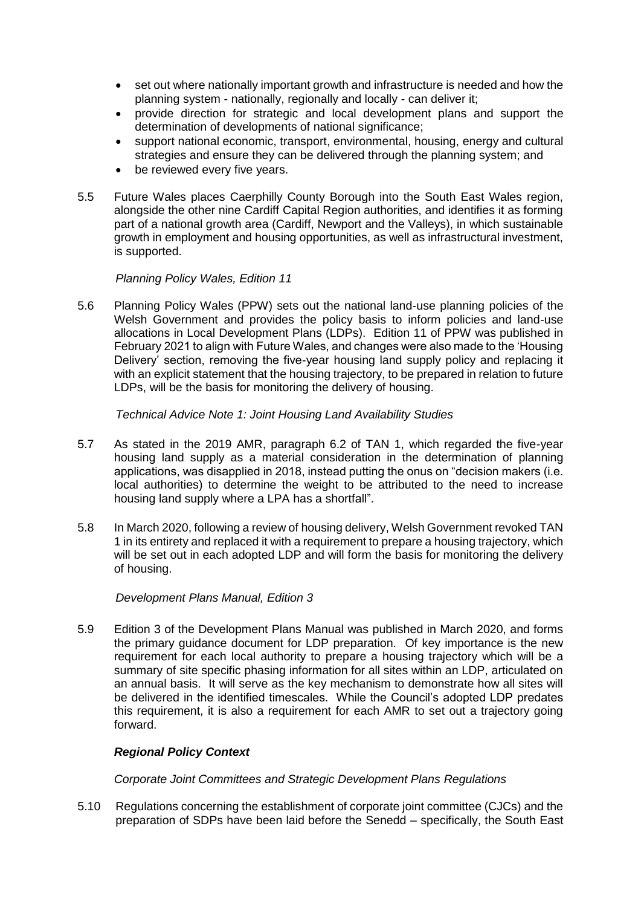- set out where nationally important growth and infrastructure is needed and how the planning system - nationally, regionally and locally - can deliver it;
- provide direction for strategic and local development plans and support the determination of developments of national significance;
- support national economic, transport, environmental, housing, energy and cultural strategies and ensure they can be delivered through the planning system; and
- be reviewed every five years.
- 5.5 Future Wales places Caerphilly County Borough into the South East Wales region, alongside the other nine Cardiff Capital Region authorities, and identifies it as forming part of a national growth area (Cardiff, Newport and the Valleys), in which sustainable growth in employment and housing opportunities, as well as infrastructural investment, is supported.

#### *Planning Policy Wales, Edition 11*

5.6 Planning Policy Wales (PPW) sets out the national land-use planning policies of the Welsh Government and provides the policy basis to inform policies and land-use allocations in Local Development Plans (LDPs). Edition 11 of PPW was published in February 2021 to align with Future Wales, and changes were also made to the 'Housing Delivery' section, removing the five-year housing land supply policy and replacing it with an explicit statement that the housing trajectory, to be prepared in relation to future LDPs, will be the basis for monitoring the delivery of housing.

#### *Technical Advice Note 1: Joint Housing Land Availability Studies*

- 5.7 As stated in the 2019 AMR, paragraph 6.2 of TAN 1, which regarded the five-year housing land supply as a material consideration in the determination of planning applications, was disapplied in 2018, instead putting the onus on "decision makers (i.e. local authorities) to determine the weight to be attributed to the need to increase housing land supply where a LPA has a shortfall".
- 5.8 In March 2020, following a review of housing delivery, Welsh Government revoked TAN 1 in its entirety and replaced it with a requirement to prepare a housing trajectory, which will be set out in each adopted LDP and will form the basis for monitoring the delivery of housing.

# *Development Plans Manual, Edition 3*

5.9 Edition 3 of the Development Plans Manual was published in March 2020, and forms the primary guidance document for LDP preparation. Of key importance is the new requirement for each local authority to prepare a housing trajectory which will be a summary of site specific phasing information for all sites within an LDP, articulated on an annual basis. It will serve as the key mechanism to demonstrate how all sites will be delivered in the identified timescales. While the Council's adopted LDP predates this requirement, it is also a requirement for each AMR to set out a trajectory going forward.

# *Regional Policy Context*

*Corporate Joint Committees and Strategic Development Plans Regulations*

5.10 Regulations concerning the establishment of corporate joint committee (CJCs) and the preparation of SDPs have been laid before the Senedd – specifically, the South East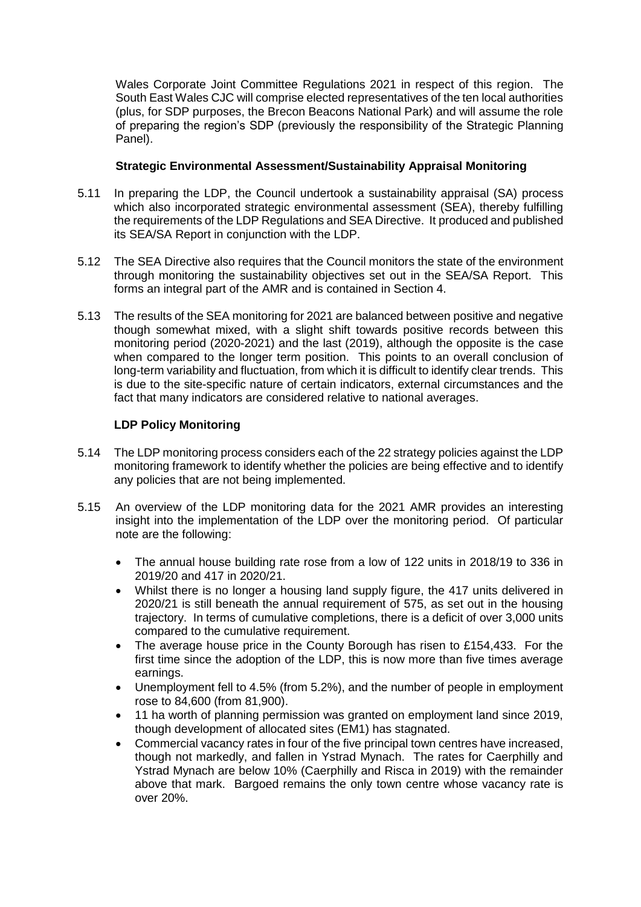Wales Corporate Joint Committee Regulations 2021 in respect of this region. The South East Wales CJC will comprise elected representatives of the ten local authorities (plus, for SDP purposes, the Brecon Beacons National Park) and will assume the role of preparing the region's SDP (previously the responsibility of the Strategic Planning Panel).

#### **Strategic Environmental Assessment/Sustainability Appraisal Monitoring**

- 5.11 In preparing the LDP, the Council undertook a sustainability appraisal (SA) process which also incorporated strategic environmental assessment (SEA), thereby fulfilling the requirements of the LDP Regulations and SEA Directive. It produced and published its SEA/SA Report in conjunction with the LDP.
- 5.12 The SEA Directive also requires that the Council monitors the state of the environment through monitoring the sustainability objectives set out in the SEA/SA Report. This forms an integral part of the AMR and is contained in Section 4.
- 5.13 The results of the SEA monitoring for 2021 are balanced between positive and negative though somewhat mixed, with a slight shift towards positive records between this monitoring period (2020-2021) and the last (2019), although the opposite is the case when compared to the longer term position. This points to an overall conclusion of long-term variability and fluctuation, from which it is difficult to identify clear trends. This is due to the site-specific nature of certain indicators, external circumstances and the fact that many indicators are considered relative to national averages.

#### **LDP Policy Monitoring**

- 5.14 The LDP monitoring process considers each of the 22 strategy policies against the LDP monitoring framework to identify whether the policies are being effective and to identify any policies that are not being implemented.
- 5.15 An overview of the LDP monitoring data for the 2021 AMR provides an interesting insight into the implementation of the LDP over the monitoring period. Of particular note are the following:
	- The annual house building rate rose from a low of 122 units in 2018/19 to 336 in 2019/20 and 417 in 2020/21.
	- Whilst there is no longer a housing land supply figure, the 417 units delivered in 2020/21 is still beneath the annual requirement of 575, as set out in the housing trajectory. In terms of cumulative completions, there is a deficit of over 3,000 units compared to the cumulative requirement.
	- The average house price in the County Borough has risen to £154,433. For the first time since the adoption of the LDP, this is now more than five times average earnings.
	- Unemployment fell to 4.5% (from 5.2%), and the number of people in employment rose to 84,600 (from 81,900).
	- 11 ha worth of planning permission was granted on employment land since 2019, though development of allocated sites (EM1) has stagnated.
	- Commercial vacancy rates in four of the five principal town centres have increased, though not markedly, and fallen in Ystrad Mynach. The rates for Caerphilly and Ystrad Mynach are below 10% (Caerphilly and Risca in 2019) with the remainder above that mark. Bargoed remains the only town centre whose vacancy rate is over 20%.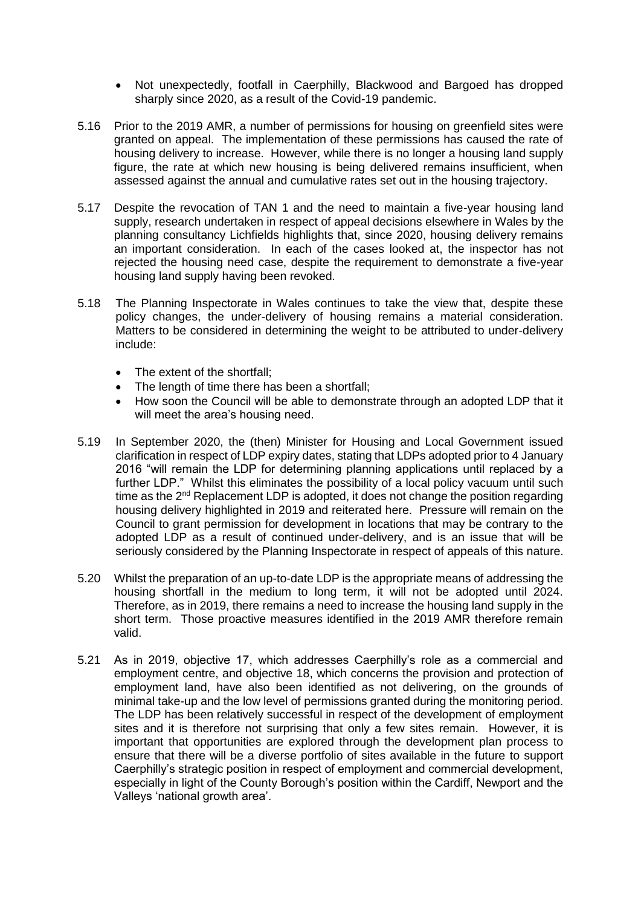- Not unexpectedly, footfall in Caerphilly, Blackwood and Bargoed has dropped sharply since 2020, as a result of the Covid-19 pandemic.
- 5.16 Prior to the 2019 AMR, a number of permissions for housing on greenfield sites were granted on appeal. The implementation of these permissions has caused the rate of housing delivery to increase. However, while there is no longer a housing land supply figure, the rate at which new housing is being delivered remains insufficient, when assessed against the annual and cumulative rates set out in the housing trajectory.
- 5.17 Despite the revocation of TAN 1 and the need to maintain a five-year housing land supply, research undertaken in respect of appeal decisions elsewhere in Wales by the planning consultancy Lichfields highlights that, since 2020, housing delivery remains an important consideration. In each of the cases looked at, the inspector has not rejected the housing need case, despite the requirement to demonstrate a five-year housing land supply having been revoked.
- 5.18 The Planning Inspectorate in Wales continues to take the view that, despite these policy changes, the under-delivery of housing remains a material consideration. Matters to be considered in determining the weight to be attributed to under-delivery include:
	- The extent of the shortfall:
	- The length of time there has been a shortfall;
	- How soon the Council will be able to demonstrate through an adopted LDP that it will meet the area's housing need.
- 5.19 In September 2020, the (then) Minister for Housing and Local Government issued clarification in respect of LDP expiry dates, stating that LDPs adopted prior to 4 January 2016 "will remain the LDP for determining planning applications until replaced by a further LDP." Whilst this eliminates the possibility of a local policy vacuum until such time as the 2<sup>nd</sup> Replacement LDP is adopted, it does not change the position regarding housing delivery highlighted in 2019 and reiterated here. Pressure will remain on the Council to grant permission for development in locations that may be contrary to the adopted LDP as a result of continued under-delivery, and is an issue that will be seriously considered by the Planning Inspectorate in respect of appeals of this nature.
- 5.20 Whilst the preparation of an up-to-date LDP is the appropriate means of addressing the housing shortfall in the medium to long term, it will not be adopted until 2024. Therefore, as in 2019, there remains a need to increase the housing land supply in the short term. Those proactive measures identified in the 2019 AMR therefore remain valid.
- 5.21 As in 2019, objective 17, which addresses Caerphilly's role as a commercial and employment centre, and objective 18, which concerns the provision and protection of employment land, have also been identified as not delivering, on the grounds of minimal take-up and the low level of permissions granted during the monitoring period. The LDP has been relatively successful in respect of the development of employment sites and it is therefore not surprising that only a few sites remain. However, it is important that opportunities are explored through the development plan process to ensure that there will be a diverse portfolio of sites available in the future to support Caerphilly's strategic position in respect of employment and commercial development, especially in light of the County Borough's position within the Cardiff, Newport and the Valleys 'national growth area'.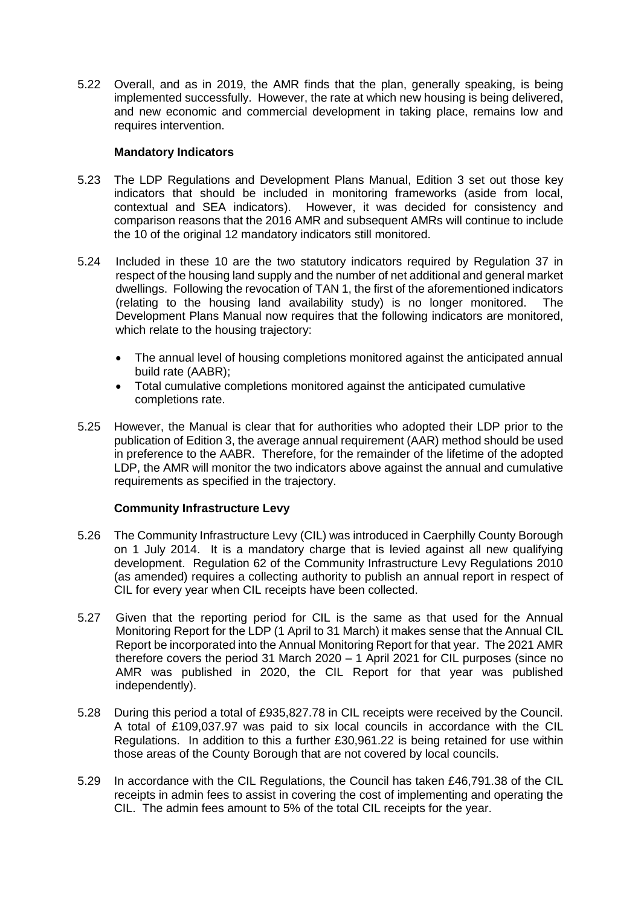5.22 Overall, and as in 2019, the AMR finds that the plan, generally speaking, is being implemented successfully. However, the rate at which new housing is being delivered, and new economic and commercial development in taking place, remains low and requires intervention.

#### **Mandatory Indicators**

- 5.23 The LDP Regulations and Development Plans Manual, Edition 3 set out those key indicators that should be included in monitoring frameworks (aside from local, contextual and SEA indicators). However, it was decided for consistency and comparison reasons that the 2016 AMR and subsequent AMRs will continue to include the 10 of the original 12 mandatory indicators still monitored.
- 5.24 Included in these 10 are the two statutory indicators required by Regulation 37 in respect of the housing land supply and the number of net additional and general market dwellings. Following the revocation of TAN 1, the first of the aforementioned indicators (relating to the housing land availability study) is no longer monitored. The Development Plans Manual now requires that the following indicators are monitored, which relate to the housing trajectory:
	- The annual level of housing completions monitored against the anticipated annual build rate (AABR);
	- Total cumulative completions monitored against the anticipated cumulative completions rate.
- 5.25 However, the Manual is clear that for authorities who adopted their LDP prior to the publication of Edition 3, the average annual requirement (AAR) method should be used in preference to the AABR. Therefore, for the remainder of the lifetime of the adopted LDP, the AMR will monitor the two indicators above against the annual and cumulative requirements as specified in the trajectory.

# **Community Infrastructure Levy**

- 5.26 The Community Infrastructure Levy (CIL) was introduced in Caerphilly County Borough on 1 July 2014. It is a mandatory charge that is levied against all new qualifying development. Regulation 62 of the Community Infrastructure Levy Regulations 2010 (as amended) requires a collecting authority to publish an annual report in respect of CIL for every year when CIL receipts have been collected.
- 5.27 Given that the reporting period for CIL is the same as that used for the Annual Monitoring Report for the LDP (1 April to 31 March) it makes sense that the Annual CIL Report be incorporated into the Annual Monitoring Report for that year. The 2021 AMR therefore covers the period 31 March 2020 – 1 April 2021 for CIL purposes (since no AMR was published in 2020, the CIL Report for that year was published independently).
- 5.28 During this period a total of £935,827.78 in CIL receipts were received by the Council. A total of £109,037.97 was paid to six local councils in accordance with the CIL Regulations. In addition to this a further £30,961.22 is being retained for use within those areas of the County Borough that are not covered by local councils.
- 5.29 In accordance with the CIL Regulations, the Council has taken £46,791.38 of the CIL receipts in admin fees to assist in covering the cost of implementing and operating the CIL. The admin fees amount to 5% of the total CIL receipts for the year.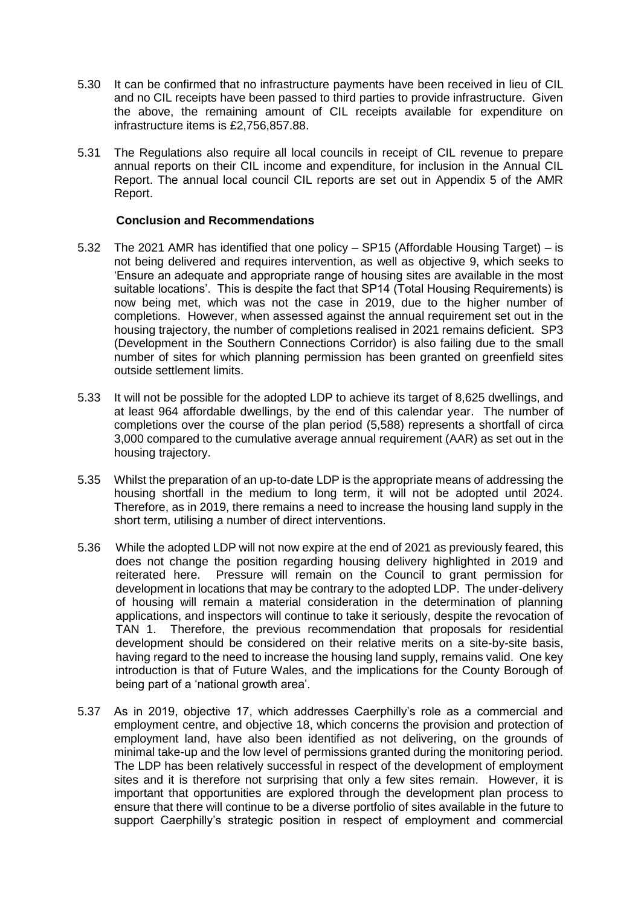- 5.30 It can be confirmed that no infrastructure payments have been received in lieu of CIL and no CIL receipts have been passed to third parties to provide infrastructure. Given the above, the remaining amount of CIL receipts available for expenditure on infrastructure items is £2,756,857.88.
- 5.31 The Regulations also require all local councils in receipt of CIL revenue to prepare annual reports on their CIL income and expenditure, for inclusion in the Annual CIL Report. The annual local council CIL reports are set out in Appendix 5 of the AMR Report.

#### **Conclusion and Recommendations**

- 5.32 The 2021 AMR has identified that one policy SP15 (Affordable Housing Target) is not being delivered and requires intervention, as well as objective 9, which seeks to 'Ensure an adequate and appropriate range of housing sites are available in the most suitable locations'. This is despite the fact that SP14 (Total Housing Requirements) is now being met, which was not the case in 2019, due to the higher number of completions. However, when assessed against the annual requirement set out in the housing trajectory, the number of completions realised in 2021 remains deficient. SP3 (Development in the Southern Connections Corridor) is also failing due to the small number of sites for which planning permission has been granted on greenfield sites outside settlement limits.
- 5.33 It will not be possible for the adopted LDP to achieve its target of 8,625 dwellings, and at least 964 affordable dwellings, by the end of this calendar year. The number of completions over the course of the plan period (5,588) represents a shortfall of circa 3,000 compared to the cumulative average annual requirement (AAR) as set out in the housing trajectory.
- 5.35 Whilst the preparation of an up-to-date LDP is the appropriate means of addressing the housing shortfall in the medium to long term, it will not be adopted until 2024. Therefore, as in 2019, there remains a need to increase the housing land supply in the short term, utilising a number of direct interventions.
- 5.36 While the adopted LDP will not now expire at the end of 2021 as previously feared, this does not change the position regarding housing delivery highlighted in 2019 and reiterated here. Pressure will remain on the Council to grant permission for development in locations that may be contrary to the adopted LDP. The under-delivery of housing will remain a material consideration in the determination of planning applications, and inspectors will continue to take it seriously, despite the revocation of TAN 1. Therefore, the previous recommendation that proposals for residential development should be considered on their relative merits on a site-by-site basis, having regard to the need to increase the housing land supply, remains valid. One key introduction is that of Future Wales, and the implications for the County Borough of being part of a 'national growth area'.
- 5.37 As in 2019, objective 17, which addresses Caerphilly's role as a commercial and employment centre, and objective 18, which concerns the provision and protection of employment land, have also been identified as not delivering, on the grounds of minimal take-up and the low level of permissions granted during the monitoring period. The LDP has been relatively successful in respect of the development of employment sites and it is therefore not surprising that only a few sites remain. However, it is important that opportunities are explored through the development plan process to ensure that there will continue to be a diverse portfolio of sites available in the future to support Caerphilly's strategic position in respect of employment and commercial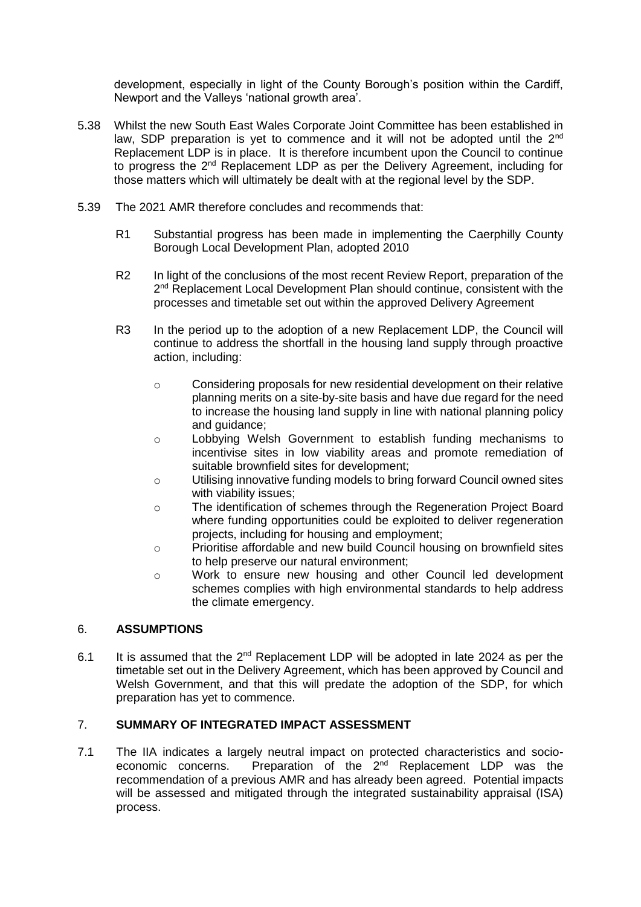development, especially in light of the County Borough's position within the Cardiff, Newport and the Valleys 'national growth area'.

- 5.38 Whilst the new South East Wales Corporate Joint Committee has been established in law, SDP preparation is yet to commence and it will not be adopted until the 2<sup>nd</sup> Replacement LDP is in place. It is therefore incumbent upon the Council to continue to progress the 2<sup>nd</sup> Replacement LDP as per the Delivery Agreement, including for those matters which will ultimately be dealt with at the regional level by the SDP.
- 5.39 The 2021 AMR therefore concludes and recommends that:
	- R1 Substantial progress has been made in implementing the Caerphilly County Borough Local Development Plan, adopted 2010
	- R2 In light of the conclusions of the most recent Review Report, preparation of the 2<sup>nd</sup> Replacement Local Development Plan should continue, consistent with the processes and timetable set out within the approved Delivery Agreement
	- R3 In the period up to the adoption of a new Replacement LDP, the Council will continue to address the shortfall in the housing land supply through proactive action, including:
		- $\circ$  Considering proposals for new residential development on their relative planning merits on a site-by-site basis and have due regard for the need to increase the housing land supply in line with national planning policy and guidance;
		- o Lobbying Welsh Government to establish funding mechanisms to incentivise sites in low viability areas and promote remediation of suitable brownfield sites for development;
		- o Utilising innovative funding models to bring forward Council owned sites with viability issues;
		- o The identification of schemes through the Regeneration Project Board where funding opportunities could be exploited to deliver regeneration projects, including for housing and employment;
		- o Prioritise affordable and new build Council housing on brownfield sites to help preserve our natural environment;
		- o Work to ensure new housing and other Council led development schemes complies with high environmental standards to help address the climate emergency.

# 6. **ASSUMPTIONS**

6.1 It is assumed that the  $2^{nd}$  Replacement LDP will be adopted in late 2024 as per the timetable set out in the Delivery Agreement, which has been approved by Council and Welsh Government, and that this will predate the adoption of the SDP, for which preparation has yet to commence.

# 7. **SUMMARY OF INTEGRATED IMPACT ASSESSMENT**

7.1 The IIA indicates a largely neutral impact on protected characteristics and socioeconomic concerns. Preparation of the 2nd Replacement LDP was the recommendation of a previous AMR and has already been agreed. Potential impacts will be assessed and mitigated through the integrated sustainability appraisal (ISA) process.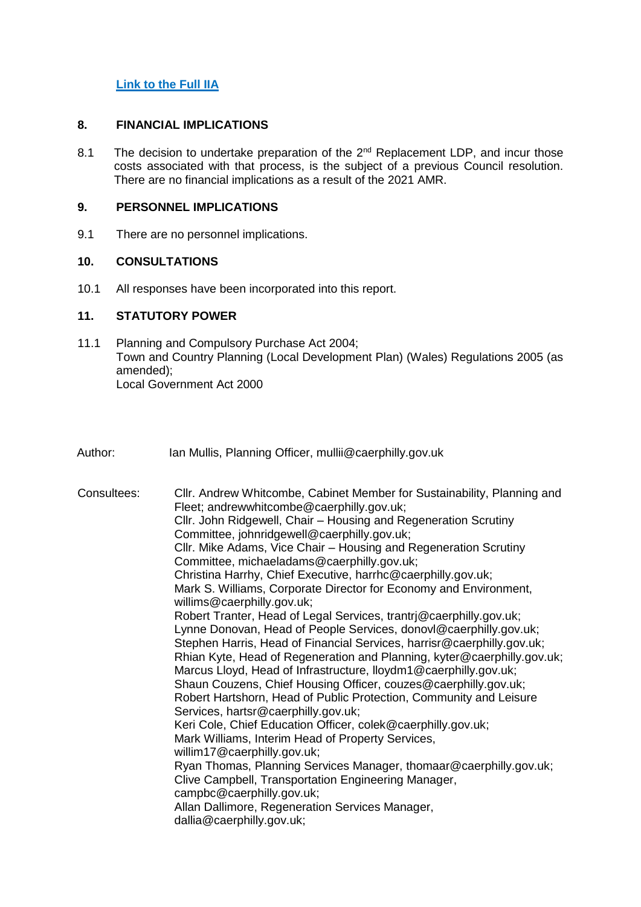# **[Link to the Full IIA](https://www.caerphilly.gov.uk/CaerphillyDocs/IIA/IIA_LDP_AMR_August2021)**

#### **8. FINANCIAL IMPLICATIONS**

8.1 The decision to undertake preparation of the  $2^{nd}$  Replacement LDP, and incur those costs associated with that process, is the subject of a previous Council resolution. There are no financial implications as a result of the 2021 AMR.

# **9. PERSONNEL IMPLICATIONS**

9.1 There are no personnel implications.

# **10. CONSULTATIONS**

10.1 All responses have been incorporated into this report.

# **11. STATUTORY POWER**

- 11.1 Planning and Compulsory Purchase Act 2004; Town and Country Planning (Local Development Plan) (Wales) Regulations 2005 (as amended); Local Government Act 2000
- Author: Ian Mullis, Planning Officer, mullii@caerphilly.gov.uk

| Consultees: | Cllr. Andrew Whitcombe, Cabinet Member for Sustainability, Planning and<br>Fleet; andrewwhitcombe@caerphilly.gov.uk;<br>Cllr. John Ridgewell, Chair - Housing and Regeneration Scrutiny<br>Committee, johnridgewell@caerphilly.gov.uk;<br>Cllr. Mike Adams, Vice Chair - Housing and Regeneration Scrutiny<br>Committee, michaeladams@caerphilly.gov.uk;<br>Christina Harrhy, Chief Executive, harrhc@caerphilly.gov.uk;<br>Mark S. Williams, Corporate Director for Economy and Environment,<br>willims@caerphilly.gov.uk;<br>Robert Tranter, Head of Legal Services, trantri@caerphilly.gov.uk;<br>Lynne Donovan, Head of People Services, donovl@caerphilly.gov.uk;<br>Stephen Harris, Head of Financial Services, harrisr@caerphilly.gov.uk;<br>Rhian Kyte, Head of Regeneration and Planning, kyter@caerphilly.gov.uk;<br>Marcus Lloyd, Head of Infrastructure, Iloydm1@caerphilly.gov.uk;<br>Shaun Couzens, Chief Housing Officer, couzes@caerphilly.gov.uk;<br>Robert Hartshorn, Head of Public Protection, Community and Leisure<br>Services, hartsr@caerphilly.gov.uk;<br>Keri Cole, Chief Education Officer, colek@caerphilly.gov.uk;<br>Mark Williams, Interim Head of Property Services,<br>willim17@caerphilly.gov.uk;<br>Ryan Thomas, Planning Services Manager, thomaar@caerphilly.gov.uk;<br>Clive Campbell, Transportation Engineering Manager,<br>campbc@caerphilly.gov.uk;<br>Allan Dallimore, Regeneration Services Manager, |
|-------------|--------------------------------------------------------------------------------------------------------------------------------------------------------------------------------------------------------------------------------------------------------------------------------------------------------------------------------------------------------------------------------------------------------------------------------------------------------------------------------------------------------------------------------------------------------------------------------------------------------------------------------------------------------------------------------------------------------------------------------------------------------------------------------------------------------------------------------------------------------------------------------------------------------------------------------------------------------------------------------------------------------------------------------------------------------------------------------------------------------------------------------------------------------------------------------------------------------------------------------------------------------------------------------------------------------------------------------------------------------------------------------------------------------------------------------------------------|
|             | dallia@caerphilly.gov.uk;                                                                                                                                                                                                                                                                                                                                                                                                                                                                                                                                                                                                                                                                                                                                                                                                                                                                                                                                                                                                                                                                                                                                                                                                                                                                                                                                                                                                                        |